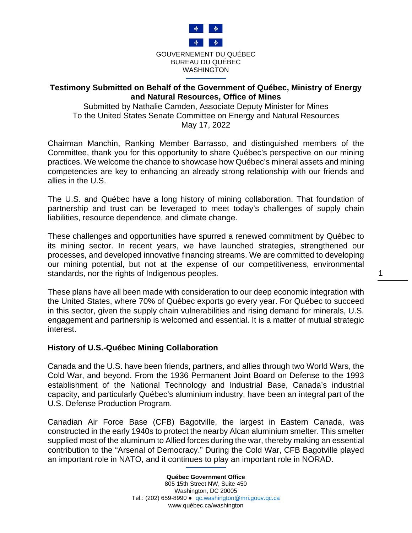

## **Testimony Submitted on Behalf of the Government of Québec, Ministry of Energy and Natural Resources, Office of Mines**

Submitted by Nathalie Camden, Associate Deputy Minister for Mines To the United States Senate Committee on Energy and Natural Resources May 17, 2022

Chairman Manchin, Ranking Member Barrasso, and distinguished members of the Committee, thank you for this opportunity to share Québec's perspective on our mining practices. We welcome the chance to showcase how Québec's mineral assets and mining competencies are key to enhancing an already strong relationship with our friends and allies in the U.S.

The U.S. and Québec have a long history of mining collaboration. That foundation of partnership and trust can be leveraged to meet today's challenges of supply chain liabilities, resource dependence, and climate change.

These challenges and opportunities have spurred a renewed commitment by Québec to its mining sector. In recent years, we have launched strategies, strengthened our processes, and developed innovative financing streams. We are committed to developing our mining potential, but not at the expense of our competitiveness, environmental standards, nor the rights of Indigenous peoples.

These plans have all been made with consideration to our deep economic integration with the United States, where 70% of Québec exports go every year. For Québec to succeed in this sector, given the supply chain vulnerabilities and rising demand for minerals, U.S. engagement and partnership is welcomed and essential. It is a matter of mutual strategic interest.

### **History of U.S.-Québec Mining Collaboration**

Canada and the U.S. have been friends, partners, and allies through two World Wars, the Cold War, and beyond. From the 1936 Permanent Joint Board on Defense to the 1993 establishment of the National Technology and Industrial Base, Canada's industrial capacity, and particularly Québec's aluminium industry, have been an integral part of the U.S. Defense Production Program.

Canadian Air Force Base (CFB) Bagotville, the largest in Eastern Canada, was constructed in the early 1940s to protect the nearby Alcan aluminium smelter. This smelter supplied most of the aluminum to Allied forces during the war, thereby making an essential contribution to the "Arsenal of Democracy." During the Cold War, CFB Bagotville played an important role in NATO, and it continues to play an important role in NORAD.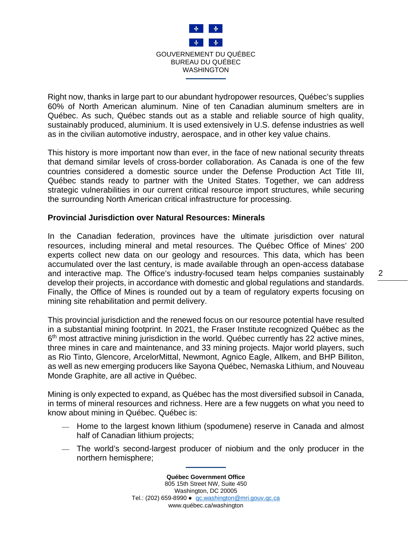

Right now, thanks in large part to our abundant hydropower resources, Québec's supplies 60% of North American aluminum. Nine of ten Canadian aluminum smelters are in Québec. As such, Québec stands out as a stable and reliable source of high quality, sustainably produced, aluminium. It is used extensively in U.S. defense industries as well as in the civilian automotive industry, aerospace, and in other key value chains.

This history is more important now than ever, in the face of new national security threats that demand similar levels of cross-border collaboration. As Canada is one of the few countries considered a domestic source under the Defense Production Act Title III, Québec stands ready to partner with the United States. Together, we can address strategic vulnerabilities in our current critical resource import structures, while securing the surrounding North American critical infrastructure for processing.

#### **Provincial Jurisdiction over Natural Resources: Minerals**

In the Canadian federation, provinces have the ultimate jurisdiction over natural resources, including mineral and metal resources. The Québec Office of Mines' 200 experts collect new data on our geology and resources. This data, which has been accumulated over the last century, is made available through an open-access database and interactive map. The Office's industry-focused team helps companies sustainably develop their projects, in accordance with domestic and global regulations and standards. Finally, the Office of Mines is rounded out by a team of regulatory experts focusing on mining site rehabilitation and permit delivery.

This provincial jurisdiction and the renewed focus on our resource potential have resulted in a substantial mining footprint. In 2021, the Fraser Institute recognized Québec as the  $6<sup>th</sup>$  most attractive mining jurisdiction in the world. Québec currently has 22 active mines, three mines in care and maintenance, and 33 mining projects. Major world players, such as Rio Tinto, Glencore, ArcelorMittal, Newmont, Agnico Eagle, Allkem, and BHP Billiton, as well as new emerging producers like Sayona Québec, Nemaska Lithium, and Nouveau Monde Graphite, are all active in Québec.

Mining is only expected to expand, as Québec has the most diversified subsoil in Canada, in terms of mineral resources and richness. Here are a few nuggets on what you need to know about mining in Québec. Québec is:

- Home to the largest known lithium (spodumene) reserve in Canada and almost half of Canadian lithium projects;
- The world's second-largest producer of niobium and the only producer in the northern hemisphere;

**Québec Government Office** 805 15th Street NW, Suite 450 Washington, DC 20005 Tel.: (202) 659-8990 · [qc.washington@mri.gouv.qc.ca](mailto:qc.washington@mri.gouv.qc.ca) www.québec.ca/washington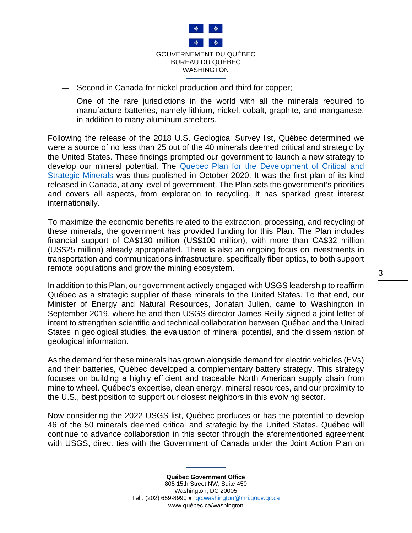

- $-$  Second in Canada for nickel production and third for copper;
- One of the rare jurisdictions in the world with all the minerals required to manufacture batteries, namely lithium, nickel, cobalt, graphite, and manganese, in addition to many aluminum smelters.

Following the release of the 2018 U.S. Geological Survey list, Québec determined we were a source of no less than 25 out of the 40 minerals deemed critical and strategic by the United States. These findings prompted our government to launch a new strategy to develop our mineral potential. The [Québec Plan for the Development of Critical and](https://cdn-contenu.quebec.ca/cdn-contenu/ressources-naturelles/Documents/PL_critical_strategic_minerals.pdf?1604003187)  [Strategic Minerals](https://cdn-contenu.quebec.ca/cdn-contenu/ressources-naturelles/Documents/PL_critical_strategic_minerals.pdf?1604003187) was thus published in October 2020. It was the first plan of its kind released in Canada, at any level of government. The Plan sets the government's priorities and covers all aspects, from exploration to recycling. It has sparked great interest internationally.

To maximize the economic benefits related to the extraction, processing, and recycling of these minerals, the government has provided funding for this Plan. The Plan includes financial support of CA\$130 million (US\$100 million), with more than CA\$32 million (US\$25 million) already appropriated. There is also an ongoing focus on investments in transportation and communications infrastructure, specifically fiber optics, to both support remote populations and grow the mining ecosystem.

In addition to this Plan, our government actively engaged with USGS leadership to reaffirm Québec as a strategic supplier of these minerals to the United States. To that end, our Minister of Energy and Natural Resources, Jonatan Julien, came to Washington in September 2019, where he and then-USGS director James Reilly signed a joint letter of intent to strengthen scientific and technical collaboration between Québec and the United States in geological studies, the evaluation of mineral potential, and the dissemination of geological information.

As the demand for these minerals has grown alongside demand for electric vehicles (EVs) and their batteries, Québec developed a complementary battery strategy. This strategy focuses on building a highly efficient and traceable North American supply chain from mine to wheel. Québec's expertise, clean energy, mineral resources, and our proximity to the U.S., best position to support our closest neighbors in this evolving sector.

Now considering the 2022 USGS list, Québec produces or has the potential to develop 46 of the 50 minerals deemed critical and strategic by the United States. Québec will continue to advance collaboration in this sector through the aforementioned agreement with USGS, direct ties with the Government of Canada under the Joint Action Plan on

> **Québec Government Office** 805 15th Street NW, Suite 450 Washington, DC 20005 Tel.: (202) 659-8990 ● [qc.washington@mri.gouv.qc.ca](mailto:qc.washington@mri.gouv.qc.ca) www.québec.ca/washington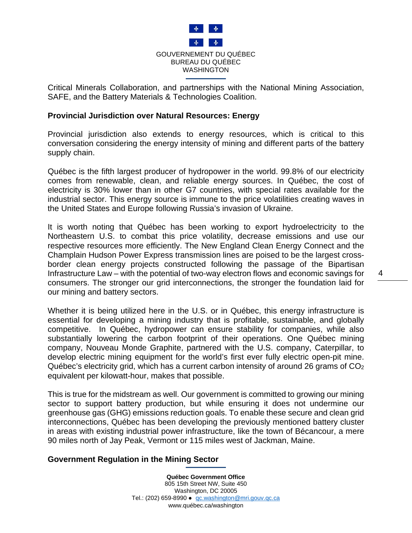

Critical Minerals Collaboration, and partnerships with the National Mining Association, SAFE, and the Battery Materials & Technologies Coalition.

#### **Provincial Jurisdiction over Natural Resources: Energy**

Provincial jurisdiction also extends to energy resources, which is critical to this conversation considering the energy intensity of mining and different parts of the battery supply chain.

Québec is the fifth largest producer of hydropower in the world. 99.8% of our electricity comes from renewable, clean, and reliable energy sources. In Québec, the cost of electricity is 30% lower than in other G7 countries, with special rates available for the industrial sector. This energy source is immune to the price volatilities creating waves in the United States and Europe following Russia's invasion of Ukraine.

It is worth noting that Québec has been working to export hydroelectricity to the Northeastern U.S. to combat this price volatility, decrease emissions and use our respective resources more efficiently. The New England Clean Energy Connect and the Champlain Hudson Power Express transmission lines are poised to be the largest crossborder clean energy projects constructed following the passage of the Bipartisan Infrastructure Law – with the potential of two-way electron flows and economic savings for consumers. The stronger our grid interconnections, the stronger the foundation laid for our mining and battery sectors.

Whether it is being utilized here in the U.S. or in Québec, this energy infrastructure is essential for developing a mining industry that is profitable, sustainable, and globally competitive. In Québec, hydropower can ensure stability for companies, while also substantially lowering the carbon footprint of their operations. One Québec mining company, Nouveau Monde Graphite, partnered with the U.S. company, Caterpillar, to develop electric mining equipment for the world's first ever fully electric open-pit mine. Québec's electricity grid, which has a current carbon intensity of around 26 grams of CO2 equivalent per kilowatt-hour, makes that possible.

This is true for the midstream as well. Our government is committed to growing our mining sector to support battery production, but while ensuring it does not undermine our greenhouse gas (GHG) emissions reduction goals. To enable these secure and clean grid interconnections, Québec has been developing the previously mentioned battery cluster in areas with existing industrial power infrastructure, like the town of Bécancour, a mere 90 miles north of Jay Peak, Vermont or 115 miles west of Jackman, Maine.

### **Government Regulation in the Mining Sector**

**Québec Government Office** 805 15th Street NW, Suite 450 Washington, DC 20005 Tel.: (202) 659-8990 ● [qc.washington@mri.gouv.qc.ca](mailto:qc.washington@mri.gouv.qc.ca) www.québec.ca/washington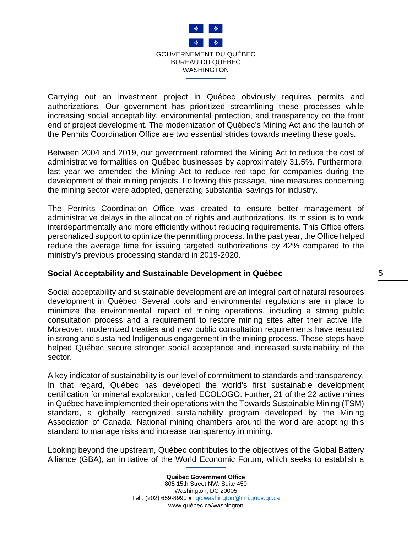

Carrying out an investment project in Québec obviously requires permits and authorizations. Our government has prioritized streamlining these processes while increasing social acceptability, environmental protection, and transparency on the front end of project development. The modernization of Québec's Mining Act and the launch of the Permits Coordination Office are two essential strides towards meeting these goals.

Between 2004 and 2019, our government reformed the Mining Act to reduce the cost of administrative formalities on Québec businesses by approximately 31.5%. Furthermore, last year we amended the Mining Act to reduce red tape for companies during the development of their mining projects. Following this passage, nine measures concerning the mining sector were adopted, generating substantial savings for industry.

The Permits Coordination Office was created to ensure better management of administrative delays in the allocation of rights and authorizations. Its mission is to work interdepartmentally and more efficiently without reducing requirements. This Office offers personalized support to optimize the permitting process. In the past year, the Office helped reduce the average time for issuing targeted authorizations by 42% compared to the ministry's previous processing standard in 2019-2020.

### **Social Acceptability and Sustainable Development in Québec**

Social acceptability and sustainable development are an integral part of natural resources development in Québec. Several tools and environmental regulations are in place to minimize the environmental impact of mining operations, including a strong public consultation process and a requirement to restore mining sites after their active life. Moreover, modernized treaties and new public consultation requirements have resulted in strong and sustained Indigenous engagement in the mining process. These steps have helped Québec secure stronger social acceptance and increased sustainability of the sector.

A key indicator of sustainability is our level of commitment to standards and transparency. In that regard, Québec has developed the world's first sustainable development certification for mineral exploration, called ECOLOGO. Further, 21 of the 22 active mines in Québec have implemented their operations with the Towards Sustainable Mining (TSM) standard, a globally recognized sustainability program developed by the Mining Association of Canada. National mining chambers around the world are adopting this standard to manage risks and increase transparency in mining.

Looking beyond the upstream, Québec contributes to the objectives of the Global Battery Alliance (GBA), an initiative of the World Economic Forum, which seeks to establish a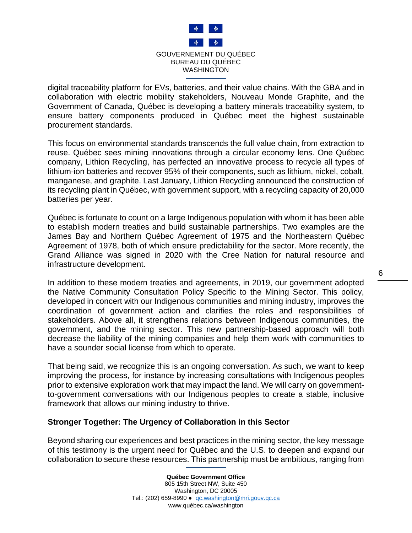

digital traceability platform for EVs, batteries, and their value chains. With the GBA and in collaboration with electric mobility stakeholders, Nouveau Monde Graphite, and the Government of Canada, Québec is developing a battery minerals traceability system, to ensure battery components produced in Québec meet the highest sustainable procurement standards.

This focus on environmental standards transcends the full value chain, from extraction to reuse. Québec sees mining innovations through a circular economy lens. One Québec company, Lithion Recycling, has perfected an innovative process to recycle all types of lithium-ion batteries and recover 95% of their components, such as lithium, nickel, cobalt, manganese, and graphite. Last January, Lithion Recycling announced the construction of its recycling plant in Québec, with government support, with a recycling capacity of 20,000 batteries per year.

Québec is fortunate to count on a large Indigenous population with whom it has been able to establish modern treaties and build sustainable partnerships. Two examples are the James Bay and Northern Québec Agreement of 1975 and the Northeastern Québec Agreement of 1978, both of which ensure predictability for the sector. More recently, the Grand Alliance was signed in 2020 with the Cree Nation for natural resource and infrastructure development.

In addition to these modern treaties and agreements, in 2019, our government adopted the Native Community Consultation Policy Specific to the Mining Sector. This policy, developed in concert with our Indigenous communities and mining industry, improves the coordination of government action and clarifies the roles and responsibilities of stakeholders. Above all, it strengthens relations between Indigenous communities, the government, and the mining sector. This new partnership-based approach will both decrease the liability of the mining companies and help them work with communities to have a sounder social license from which to operate.

That being said, we recognize this is an ongoing conversation. As such, we want to keep improving the process, for instance by increasing consultations with Indigenous peoples prior to extensive exploration work that may impact the land. We will carry on governmentto-government conversations with our Indigenous peoples to create a stable, inclusive framework that allows our mining industry to thrive.

### **Stronger Together: The Urgency of Collaboration in this Sector**

Beyond sharing our experiences and best practices in the mining sector, the key message of this testimony is the urgent need for Québec and the U.S. to deepen and expand our collaboration to secure these resources. This partnership must be ambitious, ranging from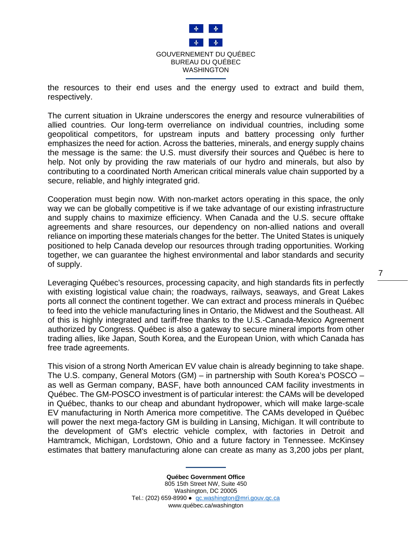

the resources to their end uses and the energy used to extract and build them, respectively.

The current situation in Ukraine underscores the energy and resource vulnerabilities of allied countries. Our long-term overreliance on individual countries, including some geopolitical competitors, for upstream inputs and battery processing only further emphasizes the need for action. Across the batteries, minerals, and energy supply chains the message is the same: the U.S. must diversify their sources and Québec is here to help. Not only by providing the raw materials of our hydro and minerals, but also by contributing to a coordinated North American critical minerals value chain supported by a secure, reliable, and highly integrated grid.

Cooperation must begin now. With non-market actors operating in this space, the only way we can be globally competitive is if we take advantage of our existing infrastructure and supply chains to maximize efficiency. When Canada and the U.S. secure offtake agreements and share resources, our dependency on non-allied nations and overall reliance on importing these materials changes for the better. The United States is uniquely positioned to help Canada develop our resources through trading opportunities. Working together, we can guarantee the highest environmental and labor standards and security of supply.

Leveraging Québec's resources, processing capacity, and high standards fits in perfectly with existing logistical value chain; the roadways, railways, seaways, and Great Lakes ports all connect the continent together. We can extract and process minerals in Québec to feed into the vehicle manufacturing lines in Ontario, the Midwest and the Southeast. All of this is highly integrated and tariff-free thanks to the U.S.-Canada-Mexico Agreement authorized by Congress. Québec is also a gateway to secure mineral imports from other trading allies, like Japan, South Korea, and the European Union, with which Canada has free trade agreements.

This vision of a strong North American EV value chain is already beginning to take shape. The U.S. company, General Motors (GM) – in partnership with South Korea's POSCO – as well as German company, BASF, have both announced CAM facility investments in Québec. The GM-POSCO investment is of particular interest: the CAMs will be developed in Québec, thanks to our cheap and abundant hydropower, which will make large-scale EV manufacturing in North America more competitive. The CAMs developed in Québec will power the next mega-factory GM is building in Lansing, Michigan. It will contribute to the development of GM's electric vehicle complex, with factories in Detroit and Hamtramck, Michigan, Lordstown, Ohio and a future factory in Tennessee. McKinsey estimates that battery manufacturing alone can create as many as 3,200 jobs per plant,

> **Québec Government Office** 805 15th Street NW, Suite 450 Washington, DC 20005 Tel.: (202) 659-8990 · [qc.washington@mri.gouv.qc.ca](mailto:qc.washington@mri.gouv.qc.ca) www.québec.ca/washington